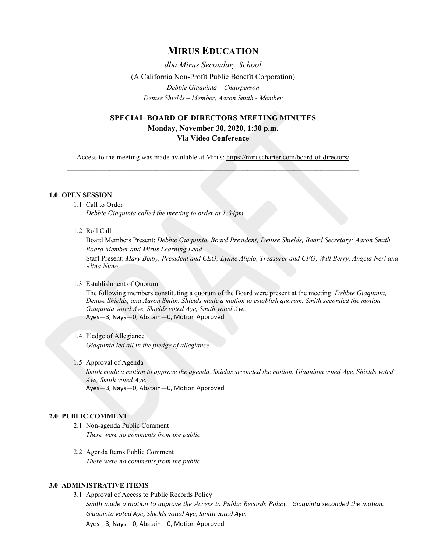# **MIRUS EDUCATION**

*dba Mirus Secondary School* (A California Non-Profit Public Benefit Corporation) *Debbie Giaquinta – Chairperson Denise Shields – Member, Aaron Smith - Member*

## **SPECIAL BOARD OF DIRECTORS MEETING MINUTES Monday, November 30, 2020, 1:30 p.m. Via Video Conference**

Access to the meeting was made available at Mirus[: https://miruscharter.com/board-of-directors/](https://miruscharter.com/board-of-directors/) \_\_\_\_\_\_\_\_\_\_\_\_\_\_\_\_\_\_\_\_\_\_\_\_\_\_\_\_\_\_\_\_\_\_\_\_\_\_\_\_\_\_\_\_\_\_\_\_\_\_\_\_\_\_\_\_\_\_\_\_\_\_\_\_\_\_\_\_\_\_\_\_\_\_\_\_

## **1.0 OPEN SESSION**

- 1.1 Call to Order *Debbie Giaquinta called the meeting to order at 1:34pm*
- 1.2 Roll Call

Board Members Present: *Debbie Giaquinta, Board President; Denise Shields, Board Secretary; Aaron Smith, Board Member and Mirus Learning Lead*

Staff Present: *Mary Bixby, President and CEO; Lynne Alipio, Treasurer and CFO; Will Berry, Angela Neri and Alina Nuno*

## 1.3 Establishment of Quorum

The following members constituting a quorum of the Board were present at the meeting: *Debbie Giaquinta, Denise Shields, and Aaron Smith. Shields made a motion to establish quorum. Smith seconded the motion. Giaquinta voted Aye, Shields voted Aye, Smith voted Aye.*  Ayes—3, Nays—0, Abstain—0, Motion Approved

## 1.4 Pledge of Allegiance *Giaquinta led all in the pledge of allegiance*

## 1.5 Approval of Agenda

*Smith made a motion to approve the agenda. Shields seconded the motion. Giaquinta voted Aye, Shields voted Aye, Smith voted Aye.* 

Ayes—3, Nays—0, Abstain—0, Motion Approved

## **2.0 PUBLIC COMMENT**

- 2.1 Non-agenda Public Comment *There were no comments from the public*
- 2.2 Agenda Items Public Comment *There were no comments from the public*

#### **3.0 ADMINISTRATIVE ITEMS**

3.1 Approval of Access to Public Records Policy *Smith made a motion to approve the Access to Public Records Policy. Giaquinta seconded the motion. Giaquinta voted Aye, Shields voted Aye, Smith voted Aye.*  Ayes—3, Nays—0, Abstain—0, Motion Approved